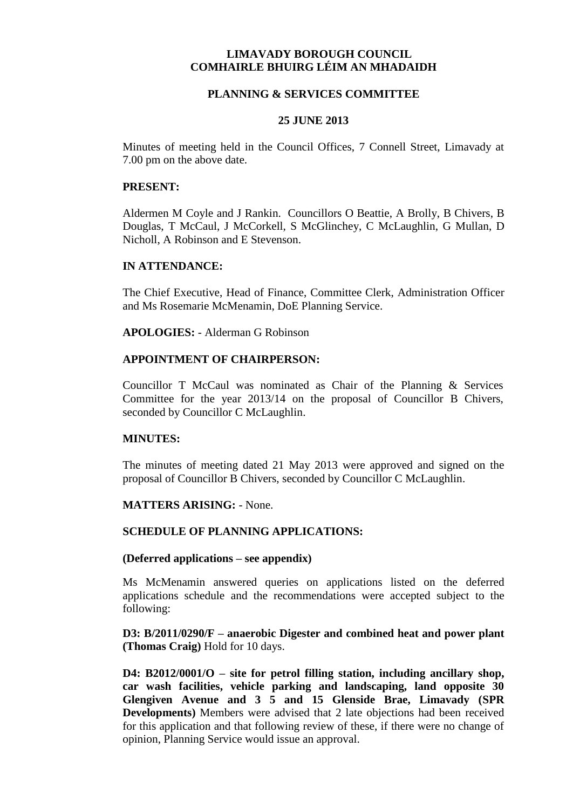# **LIMAVADY BOROUGH COUNCIL COMHAIRLE BHUIRG LÉIM AN MHADAIDH**

## **PLANNING & SERVICES COMMITTEE**

#### **25 JUNE 2013**

Minutes of meeting held in the Council Offices, 7 Connell Street, Limavady at 7.00 pm on the above date.

#### **PRESENT:**

Aldermen M Coyle and J Rankin. Councillors O Beattie, A Brolly, B Chivers, B Douglas, T McCaul, J McCorkell, S McGlinchey, C McLaughlin, G Mullan, D Nicholl, A Robinson and E Stevenson.

#### **IN ATTENDANCE:**

The Chief Executive, Head of Finance, Committee Clerk, Administration Officer and Ms Rosemarie McMenamin, DoE Planning Service.

**APOLOGIES:** - Alderman G Robinson

#### **APPOINTMENT OF CHAIRPERSON:**

Councillor T McCaul was nominated as Chair of the Planning & Services Committee for the year 2013/14 on the proposal of Councillor B Chivers, seconded by Councillor C McLaughlin.

#### **MINUTES:**

The minutes of meeting dated 21 May 2013 were approved and signed on the proposal of Councillor B Chivers, seconded by Councillor C McLaughlin.

#### **MATTERS ARISING:** - None.

## **SCHEDULE OF PLANNING APPLICATIONS:**

#### **(Deferred applications – see appendix)**

Ms McMenamin answered queries on applications listed on the deferred applications schedule and the recommendations were accepted subject to the following:

### **D3: B/2011/0290/F – anaerobic Digester and combined heat and power plant (Thomas Craig)** Hold for 10 days.

**D4: B2012/0001/O – site for petrol filling station, including ancillary shop, car wash facilities, vehicle parking and landscaping, land opposite 30 Glengiven Avenue and 3 5 and 15 Glenside Brae, Limavady (SPR Developments)** Members were advised that 2 late objections had been received for this application and that following review of these, if there were no change of opinion, Planning Service would issue an approval.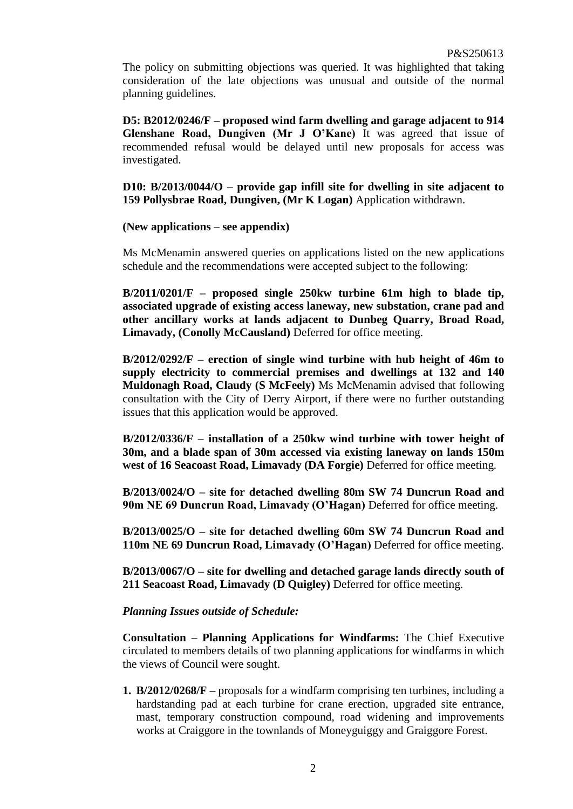The policy on submitting objections was queried. It was highlighted that taking consideration of the late objections was unusual and outside of the normal planning guidelines.

**D5: B2012/0246/F – proposed wind farm dwelling and garage adjacent to 914 Glenshane Road, Dungiven (Mr J O'Kane)** It was agreed that issue of recommended refusal would be delayed until new proposals for access was investigated.

**D10: B/2013/0044/O – provide gap infill site for dwelling in site adjacent to 159 Pollysbrae Road, Dungiven, (Mr K Logan)** Application withdrawn.

# **(New applications – see appendix)**

Ms McMenamin answered queries on applications listed on the new applications schedule and the recommendations were accepted subject to the following:

**B/2011/0201/F – proposed single 250kw turbine 61m high to blade tip, associated upgrade of existing access laneway, new substation, crane pad and other ancillary works at lands adjacent to Dunbeg Quarry, Broad Road, Limavady, (Conolly McCausland)** Deferred for office meeting.

**B/2012/0292/F – erection of single wind turbine with hub height of 46m to supply electricity to commercial premises and dwellings at 132 and 140 Muldonagh Road, Claudy (S McFeely)** Ms McMenamin advised that following consultation with the City of Derry Airport, if there were no further outstanding issues that this application would be approved.

**B/2012/0336/F – installation of a 250kw wind turbine with tower height of 30m, and a blade span of 30m accessed via existing laneway on lands 150m west of 16 Seacoast Road, Limavady (DA Forgie)** Deferred for office meeting.

**B/2013/0024/O – site for detached dwelling 80m SW 74 Duncrun Road and 90m NE 69 Duncrun Road, Limavady (O'Hagan)** Deferred for office meeting.

**B/2013/0025/O – site for detached dwelling 60m SW 74 Duncrun Road and 110m NE 69 Duncrun Road, Limavady (O'Hagan)** Deferred for office meeting.

**B/2013/0067/O – site for dwelling and detached garage lands directly south of 211 Seacoast Road, Limavady (D Quigley)** Deferred for office meeting.

# *Planning Issues outside of Schedule:*

**Consultation – Planning Applications for Windfarms:** The Chief Executive circulated to members details of two planning applications for windfarms in which the views of Council were sought.

**1. B/2012/0268/F –** proposals for a windfarm comprising ten turbines, including a hardstanding pad at each turbine for crane erection, upgraded site entrance, mast, temporary construction compound, road widening and improvements works at Craiggore in the townlands of Moneyguiggy and Graiggore Forest.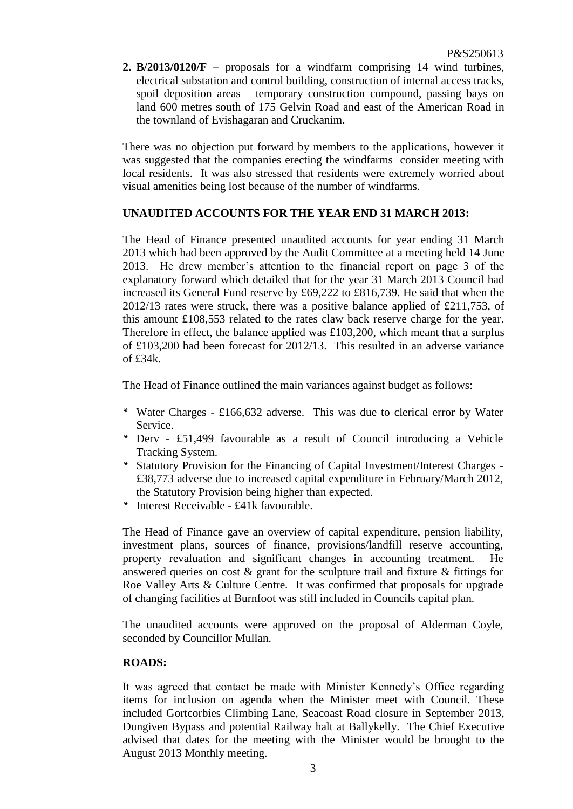**2. B/2013/0120/F** – proposals for a windfarm comprising 14 wind turbines, electrical substation and control building, construction of internal access tracks, spoil deposition areas temporary construction compound, passing bays on land 600 metres south of 175 Gelvin Road and east of the American Road in the townland of Evishagaran and Cruckanim.

There was no objection put forward by members to the applications, however it was suggested that the companies erecting the windfarms consider meeting with local residents. It was also stressed that residents were extremely worried about visual amenities being lost because of the number of windfarms.

# **UNAUDITED ACCOUNTS FOR THE YEAR END 31 MARCH 2013:**

The Head of Finance presented unaudited accounts for year ending 31 March 2013 which had been approved by the Audit Committee at a meeting held 14 June 2013. He drew member's attention to the financial report on page 3 of the explanatory forward which detailed that for the year 31 March 2013 Council had increased its General Fund reserve by £69,222 to £816,739. He said that when the 2012/13 rates were struck, there was a positive balance applied of £211,753, of this amount £108,553 related to the rates claw back reserve charge for the year. Therefore in effect, the balance applied was £103,200, which meant that a surplus of £103,200 had been forecast for 2012/13. This resulted in an adverse variance of £34k.

The Head of Finance outlined the main variances against budget as follows:

- *\** Water Charges £166,632 adverse. This was due to clerical error by Water Service.
- *\** Derv £51,499 favourable as a result of Council introducing a Vehicle Tracking System.
- *\** Statutory Provision for the Financing of Capital Investment/Interest Charges £38,773 adverse due to increased capital expenditure in February/March 2012, the Statutory Provision being higher than expected.
- *\** Interest Receivable £41k favourable.

The Head of Finance gave an overview of capital expenditure, pension liability, investment plans, sources of finance, provisions/landfill reserve accounting, property revaluation and significant changes in accounting treatment. He answered queries on cost & grant for the sculpture trail and fixture & fittings for Roe Valley Arts & Culture Centre. It was confirmed that proposals for upgrade of changing facilities at Burnfoot was still included in Councils capital plan.

The unaudited accounts were approved on the proposal of Alderman Coyle, seconded by Councillor Mullan.

# **ROADS:**

It was agreed that contact be made with Minister Kennedy's Office regarding items for inclusion on agenda when the Minister meet with Council. These included Gortcorbies Climbing Lane, Seacoast Road closure in September 2013, Dungiven Bypass and potential Railway halt at Ballykelly. The Chief Executive advised that dates for the meeting with the Minister would be brought to the August 2013 Monthly meeting.